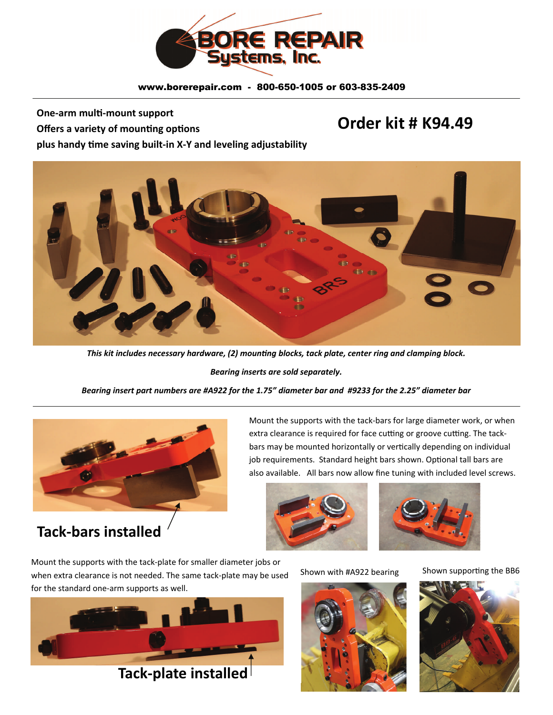

## www.borerepair.com - 800-650-1005 or 603-835-2409

**One‐arm mulƟ‐mount support** 

**Offers a variety of mounting options** 

## **Order kit # K94.49**

**plus handy Ɵme saving built‐in X‐Y and leveling adjustability** 



*This kit includes necessary hardware, (2) mounting blocks, tack plate, center ring and clamping block.* 

## *Bearing inserts are sold separately.*

*Bearing insert part numbers are #A922 for the 1.75" diameter bar and #9233 for the 2.25" diameter bar* 



## **Tack‐bars installed**

Mount the supports with the tack‐bars for large diameter work, or when extra clearance is required for face cutting or groove cutting. The tackbars may be mounted horizontally or vertically depending on individual job requirements. Standard height bars shown. Optional tall bars are also available. All bars now allow fine tuning with included level screws.





Mount the supports with the tack‐plate for smaller diameter jobs or when extra clearance is not needed. The same tack‐plate may be used for the standard one‐arm supports as well.



**Tack‐plate installed** 

Shown with #A922 bearing Shown supporting the BB6